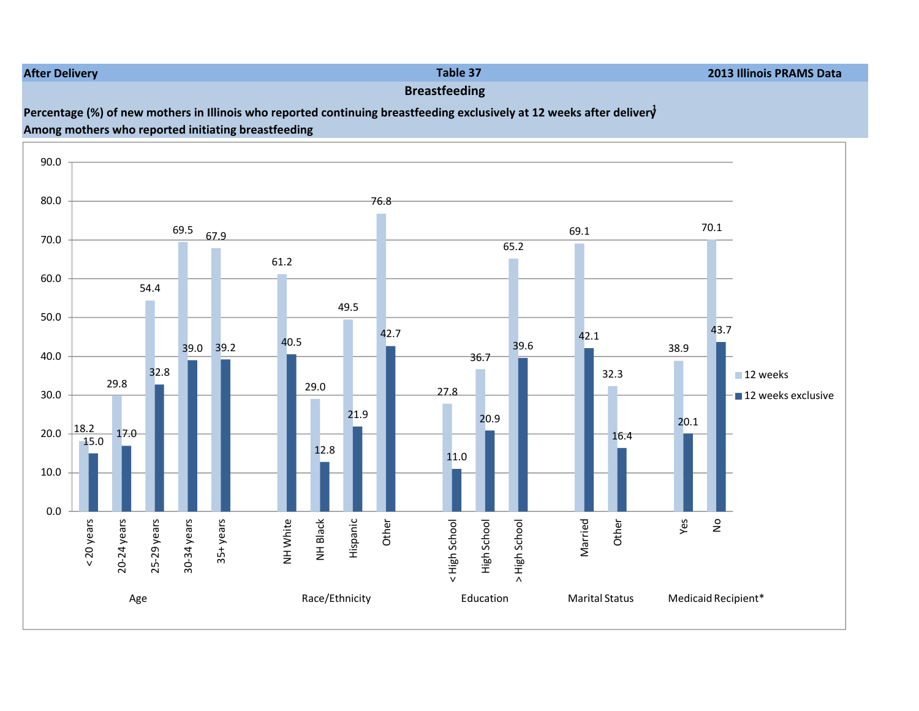#### After Delivery

# Breastfeeding

## Percentage (%) of new mothers in Illinois who reported continuing breastfeeding exclusively at 12 weeks after deliver $\dot{\vec{y}}$ Among mothers who reported initiating breastfeeding



Table 37